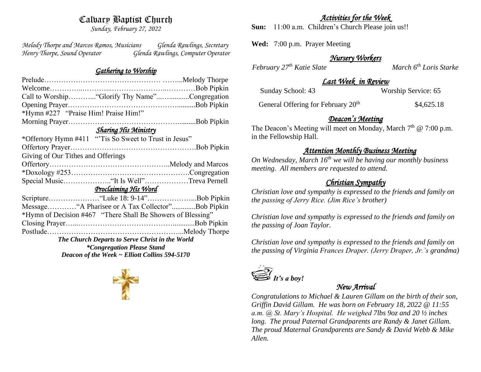# Calvary Baptist Church

*Sunday, February 27, 2022*

*Melody Thorpe and Marcos Ramos, Musicians Glenda Rawlings, Secretary Henry Thorpe, Sound Operator Glenda Rawlings, Computer Operator* 

#### *Gathering to Worship*

|                                                       | Call to Worship "Glorify Thy Name"Congregation              |  |
|-------------------------------------------------------|-------------------------------------------------------------|--|
|                                                       |                                                             |  |
| *Hymn #227 "Praise Him! Praise Him!"                  |                                                             |  |
|                                                       |                                                             |  |
| <b>Sharing His Ministry</b>                           |                                                             |  |
| *Offertory Hymn #411 "Tis So Sweet to Trust in Jesus" |                                                             |  |
|                                                       |                                                             |  |
| Giving of Our Tithes and Offerings                    |                                                             |  |
|                                                       |                                                             |  |
|                                                       |                                                             |  |
|                                                       |                                                             |  |
| Proclaiming His Word                                  |                                                             |  |
|                                                       |                                                             |  |
|                                                       |                                                             |  |
|                                                       | *Hymn of Decision #467 "There Shall Be Showers of Blessing" |  |
|                                                       |                                                             |  |
|                                                       |                                                             |  |
| The Church Departs to Serve Christ in the World       |                                                             |  |
| <i>*Congregation Please Stand</i>                     |                                                             |  |
| Deacon of the Week ~ Elliott Collins 594-5170         |                                                             |  |

### *Activities for the Week*

**Sun:** 11:00 a.m. Children's Church Please join us!!

**Wed:** 7:00 p.m. Prayer Meeting

### *Nursery Workers*

*February*  $27<sup>th</sup>$  *Katie Slate* March 6<sup>th</sup> *Loris Starke* 

## *Last Week in Review*

| Sunday School: 43 | Worship Service: 65 |
|-------------------|---------------------|
|                   |                     |

General Offering for February 20<sup>th</sup> \$4,625.18

# *Deacon's Meeting*

The Deacon's Meeting will meet on Monday, March 7<sup>th</sup> @ 7:00 p.m. in the Fellowship Hall.

### *Attention Monthly Business Meeting*

*On Wednesday, March 16th we will be having our monthly business meeting. All members are requested to attend.* 

# *Christian Sympathy*

*Christian love and sympathy is expressed to the friends and family on the passing of Jerry Rice. (Jim Rice's brother)*

*Christian love and sympathy is expressed to the friends and family on the passing of Joan Taylor.* 

*Christian love and sympathy is expressed to the friends and family on the passing of Virginia Frances Draper. (Jerry Draper, Jr.'s grandma)* 



# *New Arrival*

*Congratulations to Michael & Lauren Gillam on the birth of their son, Griffin David Gillam. He was born on February 18, 2022 @ 11:55 a.m. @ St. Mary's Hospital. He weighed 7lbs 9oz and 20 ½ inches long. The proud Paternal Grandparents are Randy & Janet Gillam. The proud Maternal Grandparents are Sandy & David Webb & Mike Allen.*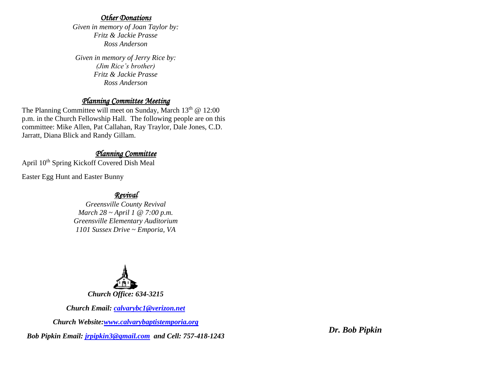#### *Other Donations*

*Given in memory of Joan Taylor by: Fritz & Jackie Prasse Ross Anderson*

*Given in memory of Jerry Rice by: (Jim Rice's brother) Fritz & Jackie Prasse Ross Anderson*

## *Planning Committee Meeting*

The Planning Committee will meet on Sunday, March  $13<sup>th</sup>$  @ 12:00 p.m. in the Church Fellowship Hall. The following people are on this committee: Mike Allen, Pat Callahan, Ray Traylor, Dale Jones, C.D. Jarratt, Diana Blick and Randy Gillam.

### *Planning Committee*

April 10<sup>th</sup> Spring Kickoff Covered Dish Meal

Easter Egg Hunt and Easter Bunny

## *Revival*

*Greensville County Revival March 28 ~ April 1 @ 7:00 p.m. Greensville Elementary Auditorium 1101 Sussex Drive ~ Emporia, VA*



*Church Email: [calvarybc1@verizon.net](mailto:cbcemporiaoffice@gmail.com)*

*Church Website[:www.calvarybaptistemporia.org](http://www.calvarybaptistemporia.org/)*

*Bob Pipkin Email: [jrpipkin3@gmail.com](mailto:jrpipkin3@gmail.com) and Cell: 757-418-1243*

*Dr. Bob Pipkin*